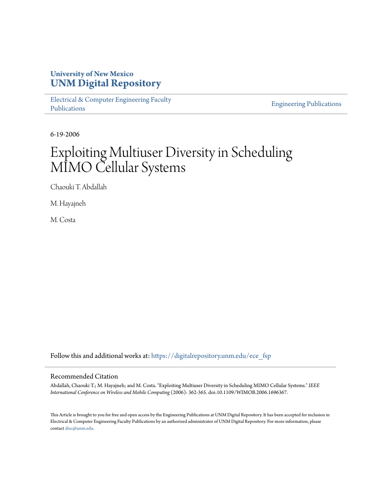# **University of New Mexico [UNM Digital Repository](https://digitalrepository.unm.edu?utm_source=digitalrepository.unm.edu%2Fece_fsp%2F170&utm_medium=PDF&utm_campaign=PDFCoverPages)**

[Electrical & Computer Engineering Faculty](https://digitalrepository.unm.edu/ece_fsp?utm_source=digitalrepository.unm.edu%2Fece_fsp%2F170&utm_medium=PDF&utm_campaign=PDFCoverPages) [Publications](https://digitalrepository.unm.edu/ece_fsp?utm_source=digitalrepository.unm.edu%2Fece_fsp%2F170&utm_medium=PDF&utm_campaign=PDFCoverPages)

[Engineering Publications](https://digitalrepository.unm.edu/eng_fsp?utm_source=digitalrepository.unm.edu%2Fece_fsp%2F170&utm_medium=PDF&utm_campaign=PDFCoverPages)

6-19-2006

# Exploiting Multiuser Diversity in Scheduling MIMO Cellular Systems

Chaouki T. Abdallah

M. Hayajneh

M. Costa

Follow this and additional works at: [https://digitalrepository.unm.edu/ece\\_fsp](https://digitalrepository.unm.edu/ece_fsp?utm_source=digitalrepository.unm.edu%2Fece_fsp%2F170&utm_medium=PDF&utm_campaign=PDFCoverPages)

## Recommended Citation

Abdallah, Chaouki T.; M. Hayajneh; and M. Costa. "Exploiting Multiuser Diversity in Scheduling MIMO Cellular Systems." *IEEE International Conference on Wireless and Mobile Computing* (2006): 362-365. doi:10.1109/WIMOB.2006.1696367.

This Article is brought to you for free and open access by the Engineering Publications at UNM Digital Repository. It has been accepted for inclusion in Electrical & Computer Engineering Faculty Publications by an authorized administrator of UNM Digital Repository. For more information, please contact [disc@unm.edu.](mailto:disc@unm.edu)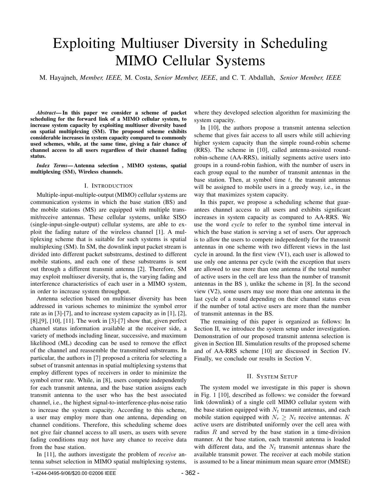# Exploiting Multiuser Diversity in Scheduling MIMO Cellular Systems

M. Hayajneh, *Member, IEEE,* M. Costa, *Senior Member, IEEE*, and C. T. Abdallah, *Senior Member, IEEE*

*Abstract***— In this paper we consider a scheme of packet scheduling for the forward link of a MIMO cellular system, to increase system capacity by exploiting multiuser diversity based on spatial multiplexing (SM). The proposed scheme exhibits considerable increases in system capacity compared to commonly used schemes, while, at the same time, giving a fair chance of channel access to all users regardless of their channel fading status.**

*Index Terms***— Antenna selection , MIMO systems, spatial multiplexing (SM), Wireless channels.**

#### I. INTRODUCTION

Multiple-input-multiple-output(MIMO) cellular systems are communication systems in which the base station (BS) and the mobile stations (MS) are equipped with multiple transmit/receive antennas. These cellular systems, unlike SISO (single-input-single-output) cellular systems, are able to exploit the fading nature of the wireless channel [1]. A multiplexing scheme that is suitable for such systems is spatial multiplexing (SM). In SM, the downlink input packet stream is divided into different packet substreams, destined to different mobile stations, and each one of these substreams is sent out through a different transmit antenna [2]. Therefore, SM may exploit multiuser diversity, that is, the varying fading and interference characteristics of each user in a MIMO system, in order to increase system throughput.

Antenna selection based on multiuser diversity has been addressed in various schemes to minimize the symbol error rate as in [3]-[7], and to increase system capacity as in [1], [2], [8],[9], [10], [11]. The work in [3]-[7] show that, given perfect channel status information available at the receiver side, a variety of methods including linear, successive, and maximum likelihood (ML) decoding can be used to remove the effect of the channel and reassemble the transmitted substreams. In particular, the authors in [7] proposed a criteria for selecting a subset of transmit antennas in spatial multiplexing systems that employ different types of receivers in order to minimize the symbol error rate. While, in [8], users compete independently for each transmit antenna, and the base station assigns each transmit antenna to the user who has the best associated channel, i.e., the highest signal-to-interference-plus-noise ratio to increase the system capacity. According to this scheme, a user may employ more than one antenna, depending on channel conditions. Therefore, this scheduling scheme does not give fair channel access to all users, as users with severe fading conditions may not have any chance to receive data from the base station.

In [11], the authors investigate the problem of *receive* antenna subset selection in MIMO spatial multiplexing systems,

where they developed selection algorithm for maximizing the system capacity.

In [10], the authors propose a transmit antenna selection scheme that gives fair access to all users while still achieving higher system capacity than the simple round-robin scheme (RRS). The scheme in [10], called antenna-assisted roundrobin-scheme (AA-RRS), initially segments active users into groups in a round-robin fashion, with the number of users in each group equal to the number of transmit antennas in the base station. Then, at symbol time *t*, the transmit antennas will be assigned to mobile users in a greedy way, i.e., in the way that maximizes system capacity.

In this paper, we propose a scheduling scheme that guarantees channel access to all users and exhibits significant increases in system capacity as compared to AA-RRS. We use the word *cycle* to refer to the symbol time interval in which the base station is serving a set of users. Our approach is to allow the users to compete independently for the transmit antennas in one scheme with two different views in the last cycle in around. In the first view (V1), each user is allowed to use only one antenna per cycle (with the exception that users are allowed to use more than one antenna if the total number of active users in the cell are less than the number of transmit antennas in the BS ), unlike the scheme in [8]. In the second view (V2), some users may use more than one antenna in the last cycle of a round depending on their channel status even if the number of total active users are more than the number of transmit antennas in the BS.

The remaining of this paper is organized as follows: In Section II, we introduce the system setup under investigation. Demonstration of our proposed transmit antenna selection is given in Section III. Simulation results of the proposed scheme and of AA-RRS scheme [10] are discussed in Section IV. Finally, we conclude our results in Section V.

### II. SYSTEM SETUP

The system model we investigate in this paper is shown in Fig. 1 [10], described as follows: we consider the forward link (downlink) of a single cell MIMO cellular system with the base station equipped with  $N_t$  transmit antennas, and each mobile station equipped with  $N_r \geq N_t$  receive antennas. *K* active users are distributed uniformly over the cell area with radius *R* and served by the base station in a time-division manner. At the base station, each transmit antenna is loaded with different data, and the  $N_t$  transmit antennas share the available transmit power. The receiver at each mobile station is assumed to be a linear minimum mean square error (MMSE)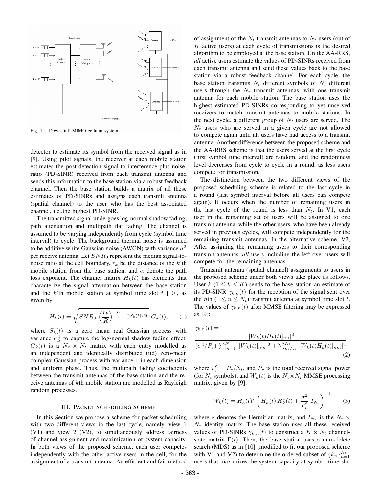

Fig. 1. Down-link MIMO cellular system.

detector to estimate its symbol from the received signal as in [9]. Using pilot signals, the receiver at each mobile station estimates the post-detection signal-to-interference-plus-noiseratio (PD-SINR) received from each transmit antenna and sends this information to the base station via a robust feedback channel. Then the base station builds a matrix of all these estimates of PD-SINRs and assigns each transmit antenna (spatial channel) to the user who has the best associated channel, i.e.,the highest PD-SINR.

The transmitted signal undergoes log-normal shadow fading, path attenuation and multipath flat fading. The channel is assumed to be varying independently from cycle (symbol time interval) to cycle. The background thermal noise is assumed to be additive white Gaussian noise (AWGN) with variance  $\sigma^2$ per receive antenna. Let *SNR*<sup>0</sup> represent the median signal-tonoise ratio at the cell boundary,  $r_k$  be the distance of the *k*'th mobile station from the base station, and  $\alpha$  denote the path loss exponent. The channel matrix  $H_k(t)$  has elements that characterize the signal attenuation between the base station and the *k*'th mobile station at symbol time slot *t* [10], as given by

$$
H_k(t) = \sqrt{SNR_0 \left(\frac{r_k}{R}\right)^{-\alpha} 10^{S_k(t)/10}} G_k(t), \quad (1)
$$

where  $S_k(t)$  is a zero mean real Gaussian process with variance  $\sigma_S^2$  to capture the log-normal shadow fading effect.  $G_k(t)$  is a  $N_r \times N_t$  matrix with each entry modelled as an independent and identically distributed (iid) zero-mean complex Gaussian process with variance 1 in each dimension and uniform phase. Thus, the multipath fading coefficients between the transmit antennas of the base station and the receive antennas of *k*th mobile station are modelled as Rayleigh random processes.

### III. PACKET SCHEDULING SCHEME

In this Section we propose a scheme for packet scheduling with two different views in the last cycle, namely, view 1 (V1) and view 2 (V2), to simultaneously address fairness of channel assignment and maximization of system capacity. In both views of the proposed scheme, each user competes independently with the other active users in the cell, for the assignment of a transmit antenna. An efficient and fair method

of assignment of the  $N_t$  transmit antennas to  $N_t$  users (out of *K* active users) at each cycle of transmissions is the desired algorithm to be employed at the base station. Unlike AA-RRS, *all* active users estimate the values of PD-SINRs received from each transmit antenna and send these values back to the base station via a robust feedback channel. For each cycle, the base station transmits  $N_t$  different symbols of  $N_t$  different users through the  $N_t$  transmit antennas, with one transmit antenna for each mobile station. The base station uses the highest estimated PD-SINRs corresponding to yet unserved receivers to match transmit antennas to mobile stations. In the next cycle, a different group of  $N_t$  users are served. The *N<sup>t</sup>* users who are served in a given cycle are not allowed to compete again until all users have had access to a transmit antenna. Another difference between the proposed scheme and the AA-RRS scheme is that the users served at the first cycle (first symbol time interval) are random, and the randomness level decreases from cycle to cycle in a round, as less users compete for transmission.

The distinction between the two different views of the proposed scheduling scheme is related to the last cycle in a round (last symbol interval before all users can compete again). It occurs when the number of remaining users in the last cycle of the round is less than  $N_t$ . In V1, each user in the remaining set of users will be assigned to one transmit antenna, while the other users, who have been already served in previous cycles, will compete independently for the remaining transmit antennas. In the alternative scheme, V2, After assigning the remaining users to their corresponding transmit antennas, *all* users including the left over users will compete for the remaining antennas.

Transmit antenna (spatial channel) assignments to users in the proposed scheme under both views take place as follows. User  $k$  ( $1 \leq k \leq K$ ) sends to the base station an estimate of its PD-SINR  $\gamma_{k,n}(t)$  for the reception of the signal sent over the *n*th ( $1 \le n \le N_t$ ) transmit antenna at symbol time slot *t*. The values of  $\gamma_{k,n}(t)$  after MMSE filtering may be expressed as [9]:

$$
\gamma_{k,n}(t) = \frac{|[W_k(t)H_k(t)]_{nn}|^2}{(\sigma^2/P'_r) \sum_{m=1}^{N_t} |[W_k(t)]_{nm}|^2 + \sum_{m \neq n}^{N_t} |[W_k(t)H_k(t)]_{nm}|^2}
$$
\n(2)

where  $P'_r = P_r/N_t$ , and  $P_r$  is the total received signal power (for  $N_t$  symbols), and  $W_k(t)$  is the  $N_t \times N_r$  MMSE processing matrix, given by [9]:

$$
W_k(t) = H_k(t)^* \left( H_k(t) H_k^*(t) + \frac{\sigma^2}{P'_r} I_{N_r} \right)^{-1}
$$
 (3)

where  $*$  denotes the Hermitian matrix, and  $I_{N_r}$  is the  $N_r \times$  $N_r$  identity matrix. The base station uses all these received values of PD-SINRs  $\gamma_{k,n}(t)$  to construct a  $K \times N_t$  channelstate matrix  $\Gamma(t)$ . Then, the base station uses a max-delete search (MDS) as in [10] (modified to fit our proposed scheme with V1 and V2) to determine the ordered subset of  ${k_n}_{n=1}^{N_t}$ users that maximizes the system capacity at symbol time slot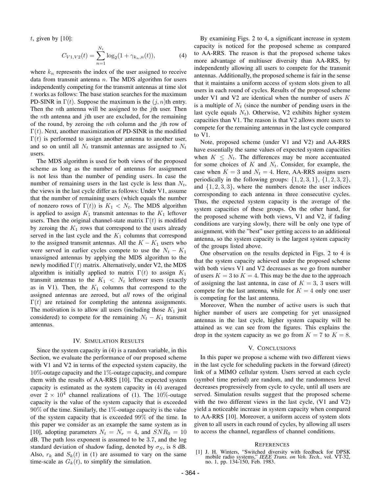*t*, given by [10]:

$$
C_{V1,V2}(t) = \sum_{n=1}^{N_t} \log_2(1 + \gamma_{k_n,n}(t)),
$$
 (4)

where  $k_n$  represents the index of the user assigned to receive data from transmit antenna *n*. The MDS algorithm for users independently competing for the transmit antennas at time slot *t* works as follows: The base station searches for the maximum PD-SINR in  $\Gamma(t)$ . Suppose the maximum is the  $(i, n)$ th entry. Then the *n*th antenna will be assigned to the *j*th user. Then the *n*th antenna and *j*th user are excluded, for the remaining of the round, by zeroing the *n*th column and the *j*th row of  $\Gamma(t)$ . Next, another maximization of PD-SINR in the modified  $\Gamma(t)$  is performed to assign another antenna to another user, and so on until all  $N_t$  transmit antennas are assigned to  $N_t$ users.

The MDS algorithm is used for both views of the proposed scheme as long as the number of antennas for assignment is not less than the number of pending users. In case the number of remaining users in the last cycle is less than  $N_t$ , the views in the last cycle differ as follows: Under V1, assume that the number of remaining users (which equals the number of nonzero rows of  $\Gamma(t)$ ) is  $K_1 < N_t$ . The MDS algorithm is applied to assign  $K_1$  transmit antennas to the  $K_1$  leftover users. Then the original channel-state matrix  $\Gamma(t)$  is modified by zeroing the  $K_1$  rows that correspond to the users already served in the last cycle and the  $K_1$  columns that correspond to the assigned transmit antennas. All the  $K - K_1$  users who were served in earlier cycles compete to use the  $N_t - K_1$ unassigned antennas by applying the MDS algorithm to the newly modified  $\Gamma(t)$  matrix. Alternatively, under V2, the MDS algorithm is initially applied to matrix  $\Gamma(t)$  to assign  $K_1$ transmit antennas to the  $K_1 \, < \, N_t$  leftover users (exactly as in V1). Then, the  $K_1$  columns that correspond to the assigned antennas are zeroed, but *all* rows of the original  $\Gamma(t)$  are retained for completing the antenna assignments. The motivation is to allow all users (including those  $K_1$  just considered) to compete for the remaining  $N_t - K_1$  transmit antennas.

#### IV. SIMULATION RESULTS

Since the system capacity in (4) is a random variable, in this Section, we evaluate the performance of our proposed scheme with V1 and V2 in terms of the expected system capacity, the 10%-outage capacity and the 1%-outage capacity, and compare them with the results of AA-RRS [10]. The expected system capacity is estimated as the system capacity in (4) averaged over  $2 \times 10^4$  channel realizations of (1). The 10%-outage capacity is the value of the system capacity that is exceeded  $90\%$  of the time. Similarly, the 1%-outage capacity is the value of the system capacity that is exceeded 99% of the time. In this paper we consider as an example the same system as in [10], adopting parameters  $N_t = N_r = 4$ , and  $SNR_0 = 10$ dB. The path loss exponent is assumed to be 3*.*7, and the log standard deviation of shadow fading, denoted by  $\sigma_S$ , is 8 dB. Also,  $r_k$  and  $S_k(t)$  in (1) are assumed to vary on the same time-scale as  $G_k(t)$ , to simplify the simulation.

By examining Figs. 2 to 4, a significant increase in system capacity is noticed for the proposed scheme as compared to AA-RRS. The reason is that the proposed scheme takes more advantage of multiuser diversity than AA-RRS, by independently allowing all users to compete for the transmit antennas. Additionally, the proposed scheme is fair in the sense that it maintains a uniform access of system slots given to all users in each round of cycles. Results of the proposed scheme under V1 and V2 are identical when the number of users *K* is a multiple of  $N_t$  (since the number of pending users in the last cycle equals  $N_t$ ). Otherwise, V2 exhibits higher system capacities than V1. The reason is that V2 allows more users to compete for the remaining antennas in the last cycle compared to V1.

Note, proposed scheme (under V1 and V2) and AA-RRS have essentially the same values of expected system capacities when  $K \leq N_t$ . The differences may be more accentuated for some choices of *K* and *Nt*. Consider, for example, the case when  $K = 3$  and  $N_t = 4$ . Here, AA-RRS assigns users periodically in the following groups:  $\{1, 2, 3, 1\}$ ,  $\{1, 2, 3, 2\}$ , and *{*1*,* 2*,* 3*,* 3*}*, where the numbers denote the user indices corresponding to each antenna in three consecutive cycles. Thus, the expected system capacity is the average of the system capacities of these groups. On the other hand, for the proposed scheme with both views, V1 and V2, if fading conditions are varying slowly, there will be only one type of assignment, with the "best" user getting access to an additional antenna, so the system capacity is the largest system capacity of the groups listed above.

One observation on the results depicted in Figs. 2 to 4 is that the system capacity achieved under the proposed scheme with both views V1 and V2 decreases as we go from number of users  $K = 3$  to  $K = 4$ . This may be the due to the approach of assigning the last antenna, in case of  $K = 3$ , 3 users will compete for the last antenna, while for  $K = 4$  only one user is competing for the last antenna.

Moreover, When the number of active users is such that higher number of users are competing for yet unassigned antennas in the last cycle, higher system capacity will be attained as we can see from the figures. This explains the drop in the system capacity as we go from  $K = 7$  to  $K = 8$ .

### V. CONCLUSIONS

In this paper we propose a scheme with two different views in the last cycle for scheduling packets in the forward (direct) link of a MIMO cellular system. Users served at each cycle (symbol time period) are random, and the randomness level decreases progressively from cycle to cycle, until all users are served. Simulation results suggest that the proposed scheme with the two different views in the last cycle, (V1 and V2) yield a noticeable increase in system capacity when compared to AA-RRS [10]. Moreover, a uniform access of system slots given to all users in each round of cycles, by allowing all users to access the channel, regardless of channel conditions.

#### REFERENCES

<sup>[1]</sup> J. H. Winters, "Switched diversity with feedback for DPSK mobile radio systems," *IEEE Trans. on Veh. Tech.,* vol. VT-32, no. 1, pp. 134-150, Feb. 1983.